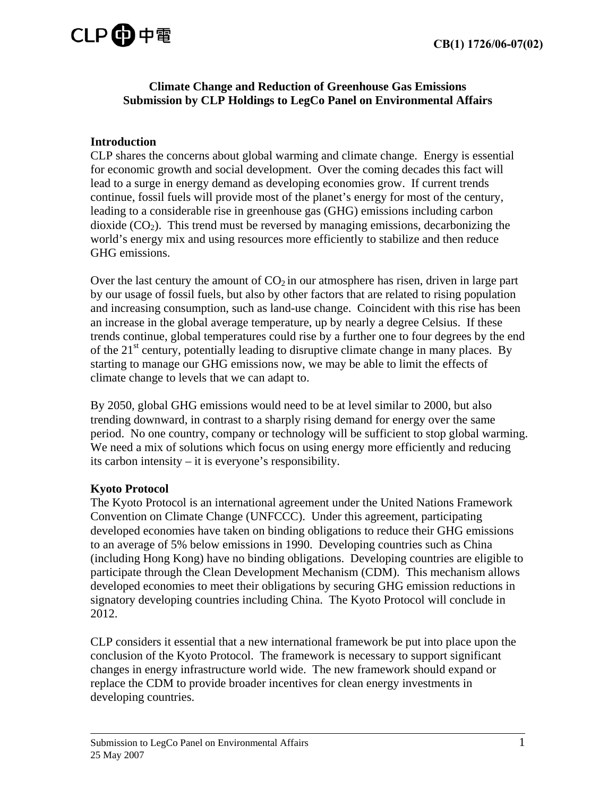# CLP**的**中電

#### **Climate Change and Reduction of Greenhouse Gas Emissions Submission by CLP Holdings to LegCo Panel on Environmental Affairs**

## **Introduction**

CLP shares the concerns about global warming and climate change. Energy is essential for economic growth and social development. Over the coming decades this fact will lead to a surge in energy demand as developing economies grow. If current trends continue, fossil fuels will provide most of the planet's energy for most of the century, leading to a considerable rise in greenhouse gas (GHG) emissions including carbon dioxide  $(CO_2)$ . This trend must be reversed by managing emissions, decarbonizing the world's energy mix and using resources more efficiently to stabilize and then reduce GHG emissions.

Over the last century the amount of  $CO<sub>2</sub>$  in our atmosphere has risen, driven in large part by our usage of fossil fuels, but also by other factors that are related to rising population and increasing consumption, such as land-use change. Coincident with this rise has been an increase in the global average temperature, up by nearly a degree Celsius. If these trends continue, global temperatures could rise by a further one to four degrees by the end of the  $21<sup>st</sup>$  century, potentially leading to disruptive climate change in many places. By starting to manage our GHG emissions now, we may be able to limit the effects of climate change to levels that we can adapt to.

By 2050, global GHG emissions would need to be at level similar to 2000, but also trending downward, in contrast to a sharply rising demand for energy over the same period. No one country, company or technology will be sufficient to stop global warming. We need a mix of solutions which focus on using energy more efficiently and reducing its carbon intensity – it is everyone's responsibility.

## **Kyoto Protocol**

The Kyoto Protocol is an international agreement under the United Nations Framework Convention on Climate Change (UNFCCC). Under this agreement, participating developed economies have taken on binding obligations to reduce their GHG emissions to an average of 5% below emissions in 1990. Developing countries such as China (including Hong Kong) have no binding obligations. Developing countries are eligible to participate through the Clean Development Mechanism (CDM). This mechanism allows developed economies to meet their obligations by securing GHG emission reductions in signatory developing countries including China. The Kyoto Protocol will conclude in 2012.

CLP considers it essential that a new international framework be put into place upon the conclusion of the Kyoto Protocol. The framework is necessary to support significant changes in energy infrastructure world wide. The new framework should expand or replace the CDM to provide broader incentives for clean energy investments in developing countries.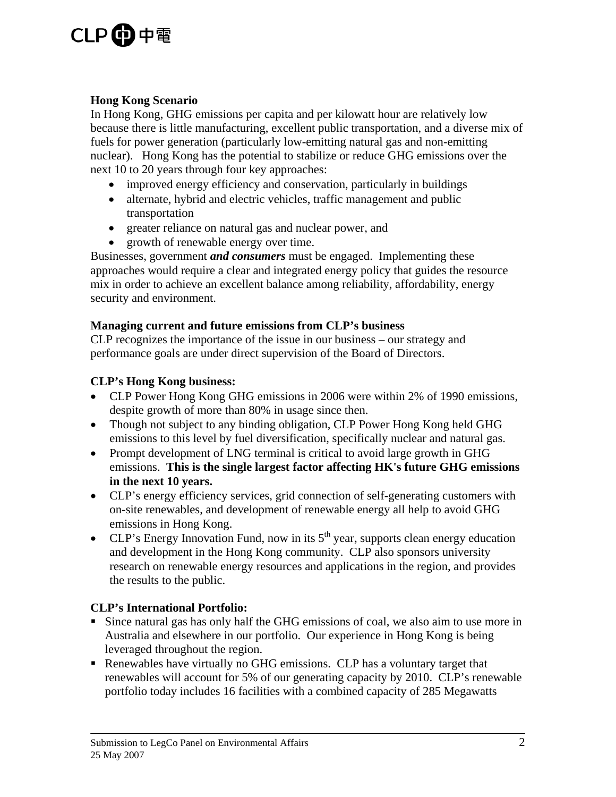## CLP**的**中電

#### **Hong Kong Scenario**

In Hong Kong, GHG emissions per capita and per kilowatt hour are relatively low because there is little manufacturing, excellent public transportation, and a diverse mix of fuels for power generation (particularly low-emitting natural gas and non-emitting nuclear). Hong Kong has the potential to stabilize or reduce GHG emissions over the next 10 to 20 years through four key approaches:

- improved energy efficiency and conservation, particularly in buildings
- alternate, hybrid and electric vehicles, traffic management and public transportation
- greater reliance on natural gas and nuclear power, and
- growth of renewable energy over time.

Businesses, government *and consumers* must be engaged. Implementing these approaches would require a clear and integrated energy policy that guides the resource mix in order to achieve an excellent balance among reliability, affordability, energy security and environment.

#### **Managing current and future emissions from CLP's business**

CLP recognizes the importance of the issue in our business – our strategy and performance goals are under direct supervision of the Board of Directors.

#### **CLP's Hong Kong business:**

- CLP Power Hong Kong GHG emissions in 2006 were within 2% of 1990 emissions, despite growth of more than 80% in usage since then.
- Though not subject to any binding obligation, CLP Power Hong Kong held GHG emissions to this level by fuel diversification, specifically nuclear and natural gas.
- Prompt development of LNG terminal is critical to avoid large growth in GHG emissions. **This is the single largest factor affecting HK's future GHG emissions in the next 10 years.**
- CLP's energy efficiency services, grid connection of self-generating customers with on-site renewables, and development of renewable energy all help to avoid GHG emissions in Hong Kong.
- CLP's Energy Innovation Fund, now in its  $5<sup>th</sup>$  year, supports clean energy education and development in the Hong Kong community. CLP also sponsors university research on renewable energy resources and applications in the region, and provides the results to the public.

## **CLP's International Portfolio:**

- Since natural gas has only half the GHG emissions of coal, we also aim to use more in Australia and elsewhere in our portfolio. Our experience in Hong Kong is being leveraged throughout the region.
- Renewables have virtually no GHG emissions. CLP has a voluntary target that renewables will account for 5% of our generating capacity by 2010. CLP's renewable portfolio today includes 16 facilities with a combined capacity of 285 Megawatts